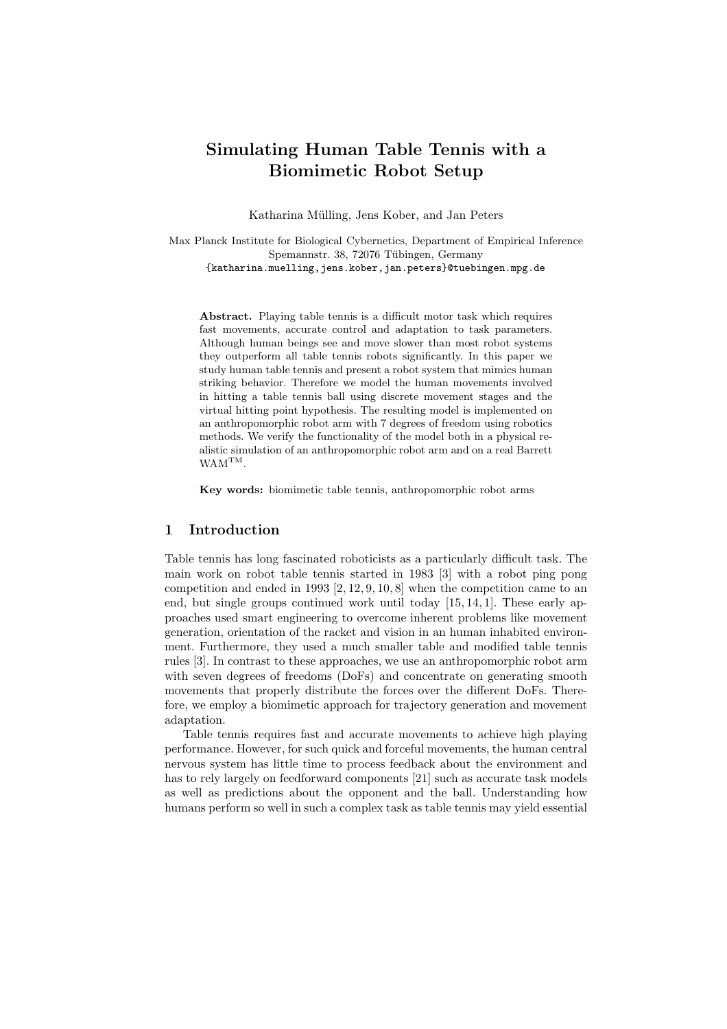# Simulating Human Table Tennis with a Biomimetic Robot Setup

Katharina Mülling, Jens Kober, and Jan Peters

Max Planck Institute for Biological Cybernetics, Department of Empirical Inference Spemannstr. 38, 72076 Tübingen, Germany {katharina.muelling,jens.kober,jan.peters}@tuebingen.mpg.de

Abstract. Playing table tennis is a difficult motor task which requires fast movements, accurate control and adaptation to task parameters. Although human beings see and move slower than most robot systems they outperform all table tennis robots significantly. In this paper we study human table tennis and present a robot system that mimics human striking behavior. Therefore we model the human movements involved in hitting a table tennis ball using discrete movement stages and the virtual hitting point hypothesis. The resulting model is implemented on an anthropomorphic robot arm with 7 degrees of freedom using robotics methods. We verify the functionality of the model both in a physical realistic simulation of an anthropomorphic robot arm and on a real Barrett WAMTM.

Key words: biomimetic table tennis, anthropomorphic robot arms

# 1 Introduction

Table tennis has long fascinated roboticists as a particularly difficult task. The main work on robot table tennis started in 1983 [3] with a robot ping pong competition and ended in 1993 [2, 12, 9, 10, 8] when the competition came to an end, but single groups continued work until today [15, 14, 1]. These early approaches used smart engineering to overcome inherent problems like movement generation, orientation of the racket and vision in an human inhabited environment. Furthermore, they used a much smaller table and modified table tennis rules [3]. In contrast to these approaches, we use an anthropomorphic robot arm with seven degrees of freedoms (DoFs) and concentrate on generating smooth movements that properly distribute the forces over the different DoFs. Therefore, we employ a biomimetic approach for trajectory generation and movement adaptation.

Table tennis requires fast and accurate movements to achieve high playing performance. However, for such quick and forceful movements, the human central nervous system has little time to process feedback about the environment and has to rely largely on feedforward components [21] such as accurate task models as well as predictions about the opponent and the ball. Understanding how humans perform so well in such a complex task as table tennis may yield essential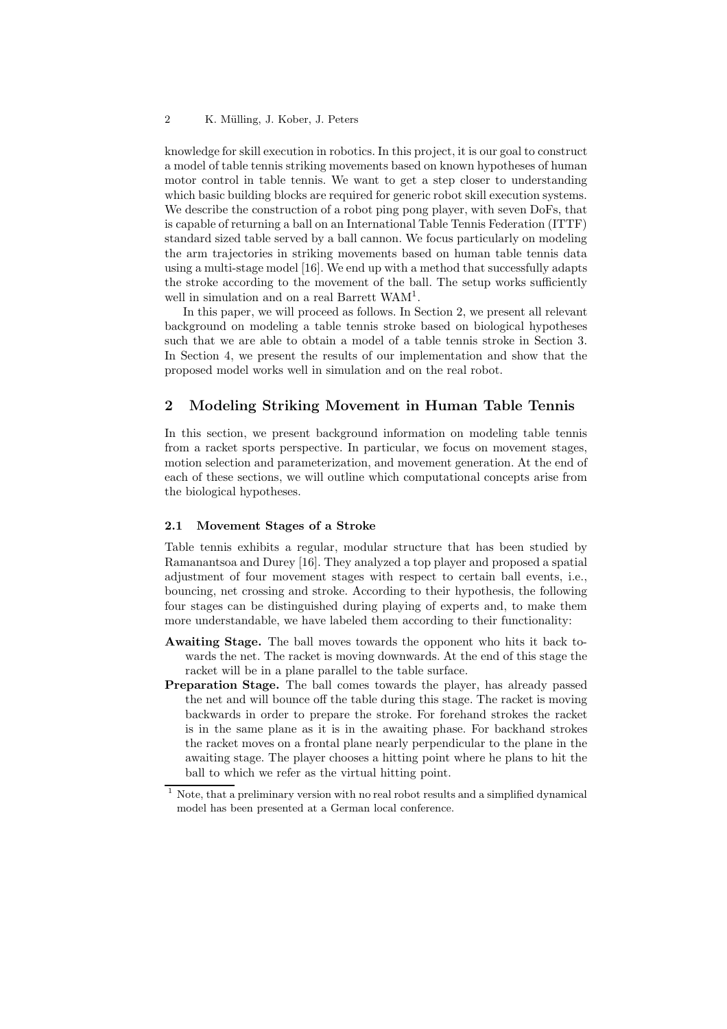#### 2 K. Mülling, J. Kober, J. Peters

knowledge for skill execution in robotics. In this project, it is our goal to construct a model of table tennis striking movements based on known hypotheses of human motor control in table tennis. We want to get a step closer to understanding which basic building blocks are required for generic robot skill execution systems. We describe the construction of a robot ping pong player, with seven DoFs, that is capable of returning a ball on an International Table Tennis Federation (ITTF) standard sized table served by a ball cannon. We focus particularly on modeling the arm trajectories in striking movements based on human table tennis data using a multi-stage model [16]. We end up with a method that successfully adapts the stroke according to the movement of the ball. The setup works sufficiently well in simulation and on a real Barrett WAM<sup>1</sup>.

In this paper, we will proceed as follows. In Section 2, we present all relevant background on modeling a table tennis stroke based on biological hypotheses such that we are able to obtain a model of a table tennis stroke in Section 3. In Section 4, we present the results of our implementation and show that the proposed model works well in simulation and on the real robot.

# 2 Modeling Striking Movement in Human Table Tennis

In this section, we present background information on modeling table tennis from a racket sports perspective. In particular, we focus on movement stages, motion selection and parameterization, and movement generation. At the end of each of these sections, we will outline which computational concepts arise from the biological hypotheses.

### 2.1 Movement Stages of a Stroke

Table tennis exhibits a regular, modular structure that has been studied by Ramanantsoa and Durey [16]. They analyzed a top player and proposed a spatial adjustment of four movement stages with respect to certain ball events, i.e., bouncing, net crossing and stroke. According to their hypothesis, the following four stages can be distinguished during playing of experts and, to make them more understandable, we have labeled them according to their functionality:

- Awaiting Stage. The ball moves towards the opponent who hits it back towards the net. The racket is moving downwards. At the end of this stage the racket will be in a plane parallel to the table surface.
- Preparation Stage. The ball comes towards the player, has already passed the net and will bounce off the table during this stage. The racket is moving backwards in order to prepare the stroke. For forehand strokes the racket is in the same plane as it is in the awaiting phase. For backhand strokes the racket moves on a frontal plane nearly perpendicular to the plane in the awaiting stage. The player chooses a hitting point where he plans to hit the ball to which we refer as the virtual hitting point.

 $1$  Note, that a preliminary version with no real robot results and a simplified dynamical model has been presented at a German local conference.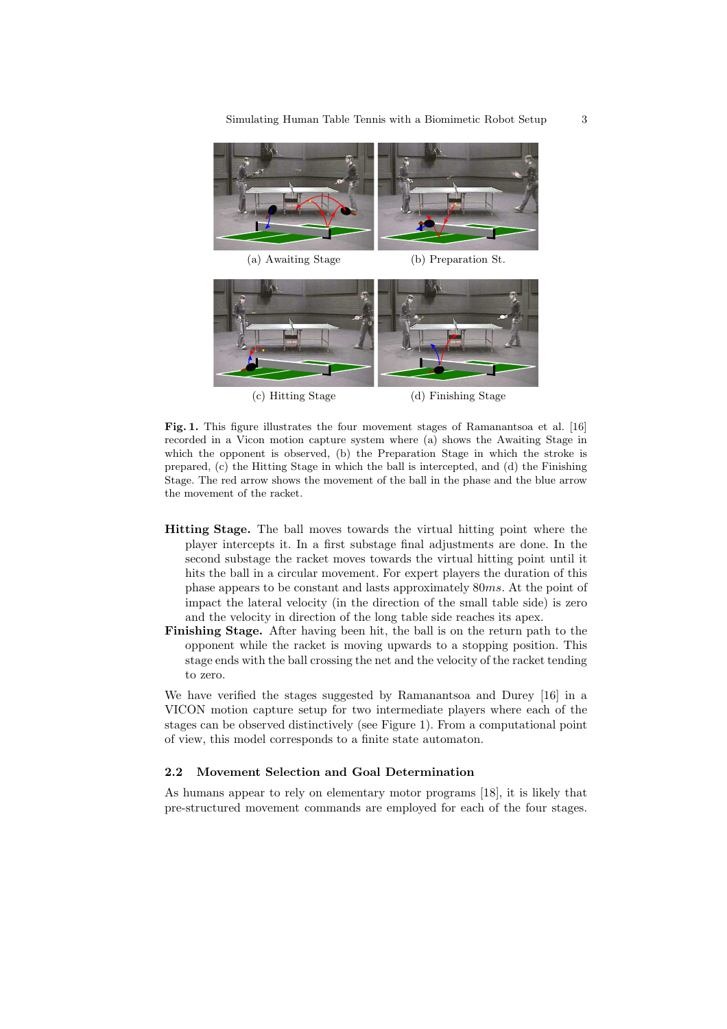

Fig. 1. This figure illustrates the four movement stages of Ramanantsoa et al. [16]

recorded in a Vicon motion capture system where (a) shows the Awaiting Stage in which the opponent is observed, (b) the Preparation Stage in which the stroke is prepared, (c) the Hitting Stage in which the ball is intercepted, and (d) the Finishing Stage. The red arrow shows the movement of the ball in the phase and the blue arrow the movement of the racket.

- Hitting Stage. The ball moves towards the virtual hitting point where the player intercepts it. In a first substage final adjustments are done. In the second substage the racket moves towards the virtual hitting point until it hits the ball in a circular movement. For expert players the duration of this phase appears to be constant and lasts approximately 80ms. At the point of impact the lateral velocity (in the direction of the small table side) is zero and the velocity in direction of the long table side reaches its apex.
- Finishing Stage. After having been hit, the ball is on the return path to the opponent while the racket is moving upwards to a stopping position. This stage ends with the ball crossing the net and the velocity of the racket tending to zero.

We have verified the stages suggested by Ramanantsoa and Durey [16] in a VICON motion capture setup for two intermediate players where each of the stages can be observed distinctively (see Figure 1). From a computational point of view, this model corresponds to a finite state automaton.

# 2.2 Movement Selection and Goal Determination

As humans appear to rely on elementary motor programs [18], it is likely that pre-structured movement commands are employed for each of the four stages.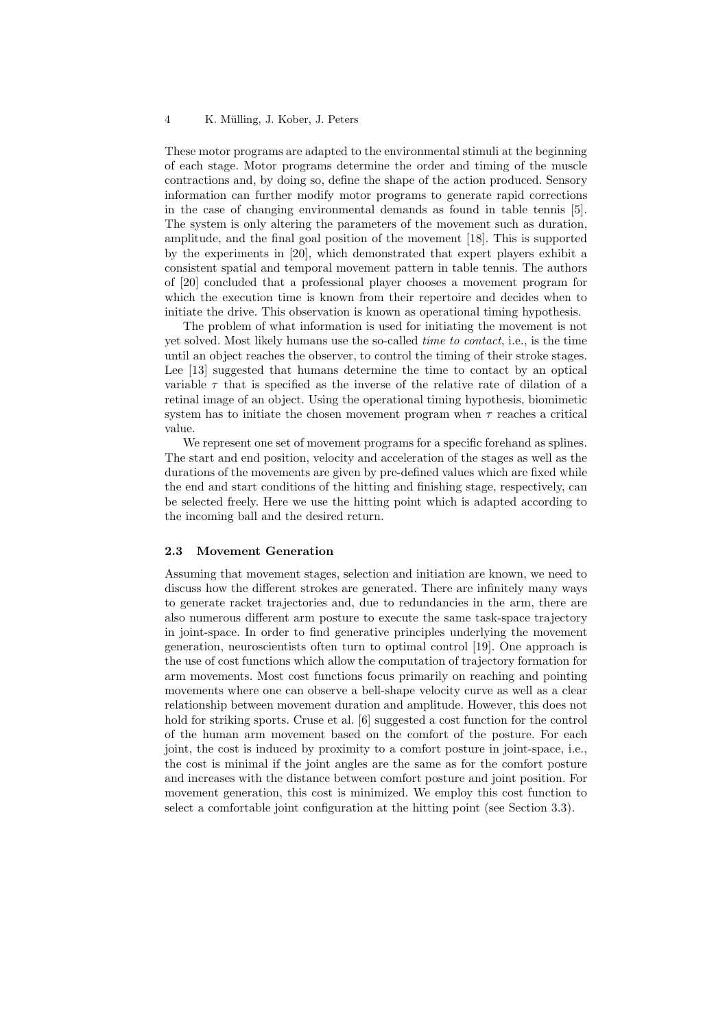These motor programs are adapted to the environmental stimuli at the beginning of each stage. Motor programs determine the order and timing of the muscle contractions and, by doing so, define the shape of the action produced. Sensory information can further modify motor programs to generate rapid corrections in the case of changing environmental demands as found in table tennis [5]. The system is only altering the parameters of the movement such as duration, amplitude, and the final goal position of the movement [18]. This is supported by the experiments in [20], which demonstrated that expert players exhibit a consistent spatial and temporal movement pattern in table tennis. The authors of [20] concluded that a professional player chooses a movement program for which the execution time is known from their repertoire and decides when to initiate the drive. This observation is known as operational timing hypothesis.

The problem of what information is used for initiating the movement is not yet solved. Most likely humans use the so-called time to contact, i.e., is the time until an object reaches the observer, to control the timing of their stroke stages. Lee [13] suggested that humans determine the time to contact by an optical variable  $\tau$  that is specified as the inverse of the relative rate of dilation of a retinal image of an object. Using the operational timing hypothesis, biomimetic system has to initiate the chosen movement program when  $\tau$  reaches a critical value.

We represent one set of movement programs for a specific forehand as splines. The start and end position, velocity and acceleration of the stages as well as the durations of the movements are given by pre-defined values which are fixed while the end and start conditions of the hitting and finishing stage, respectively, can be selected freely. Here we use the hitting point which is adapted according to the incoming ball and the desired return.

#### 2.3 Movement Generation

Assuming that movement stages, selection and initiation are known, we need to discuss how the different strokes are generated. There are infinitely many ways to generate racket trajectories and, due to redundancies in the arm, there are also numerous different arm posture to execute the same task-space trajectory in joint-space. In order to find generative principles underlying the movement generation, neuroscientists often turn to optimal control [19]. One approach is the use of cost functions which allow the computation of trajectory formation for arm movements. Most cost functions focus primarily on reaching and pointing movements where one can observe a bell-shape velocity curve as well as a clear relationship between movement duration and amplitude. However, this does not hold for striking sports. Cruse et al. [6] suggested a cost function for the control of the human arm movement based on the comfort of the posture. For each joint, the cost is induced by proximity to a comfort posture in joint-space, i.e., the cost is minimal if the joint angles are the same as for the comfort posture and increases with the distance between comfort posture and joint position. For movement generation, this cost is minimized. We employ this cost function to select a comfortable joint configuration at the hitting point (see Section 3.3).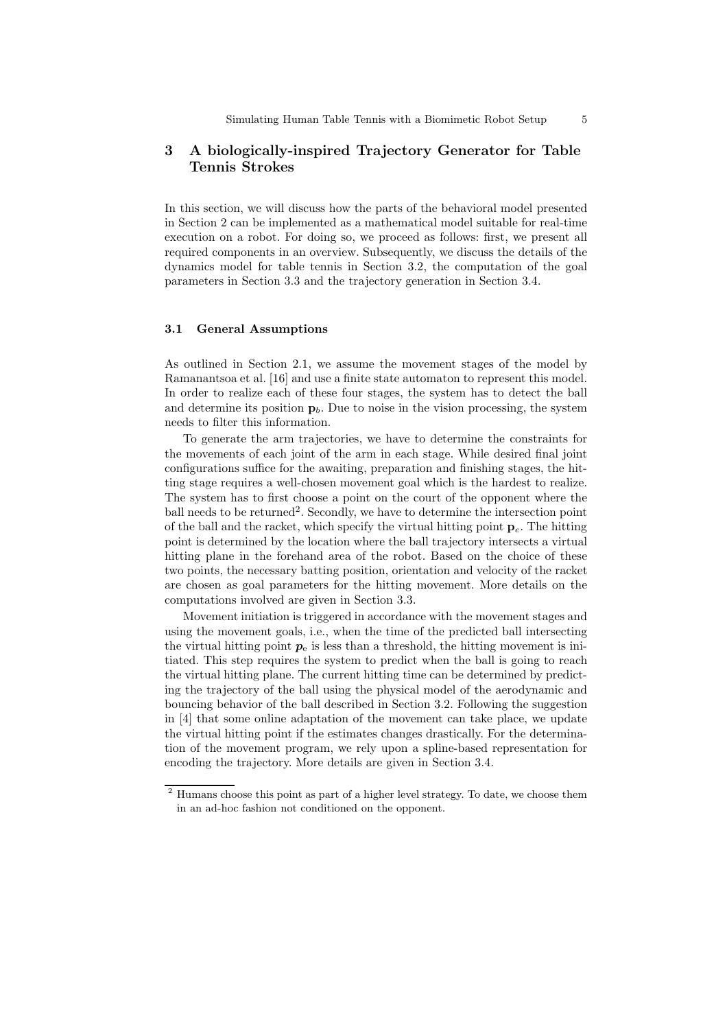# 3 A biologically-inspired Trajectory Generator for Table Tennis Strokes

In this section, we will discuss how the parts of the behavioral model presented in Section 2 can be implemented as a mathematical model suitable for real-time execution on a robot. For doing so, we proceed as follows: first, we present all required components in an overview. Subsequently, we discuss the details of the dynamics model for table tennis in Section 3.2, the computation of the goal parameters in Section 3.3 and the trajectory generation in Section 3.4.

### 3.1 General Assumptions

As outlined in Section 2.1, we assume the movement stages of the model by Ramanantsoa et al. [16] and use a finite state automaton to represent this model. In order to realize each of these four stages, the system has to detect the ball and determine its position  $\mathbf{p}_b$ . Due to noise in the vision processing, the system needs to filter this information.

To generate the arm trajectories, we have to determine the constraints for the movements of each joint of the arm in each stage. While desired final joint configurations suffice for the awaiting, preparation and finishing stages, the hitting stage requires a well-chosen movement goal which is the hardest to realize. The system has to first choose a point on the court of the opponent where the ball needs to be returned<sup>2</sup>. Secondly, we have to determine the intersection point of the ball and the racket, which specify the virtual hitting point  $\mathbf{p}_e$ . The hitting point is determined by the location where the ball trajectory intersects a virtual hitting plane in the forehand area of the robot. Based on the choice of these two points, the necessary batting position, orientation and velocity of the racket are chosen as goal parameters for the hitting movement. More details on the computations involved are given in Section 3.3.

Movement initiation is triggered in accordance with the movement stages and using the movement goals, i.e., when the time of the predicted ball intersecting the virtual hitting point  $p_e$  is less than a threshold, the hitting movement is initiated. This step requires the system to predict when the ball is going to reach the virtual hitting plane. The current hitting time can be determined by predicting the trajectory of the ball using the physical model of the aerodynamic and bouncing behavior of the ball described in Section 3.2. Following the suggestion in [4] that some online adaptation of the movement can take place, we update the virtual hitting point if the estimates changes drastically. For the determination of the movement program, we rely upon a spline-based representation for encoding the trajectory. More details are given in Section 3.4.

 $^{\rm 2}$  Humans choose this point as part of a higher level strategy. To date, we choose them in an ad-hoc fashion not conditioned on the opponent.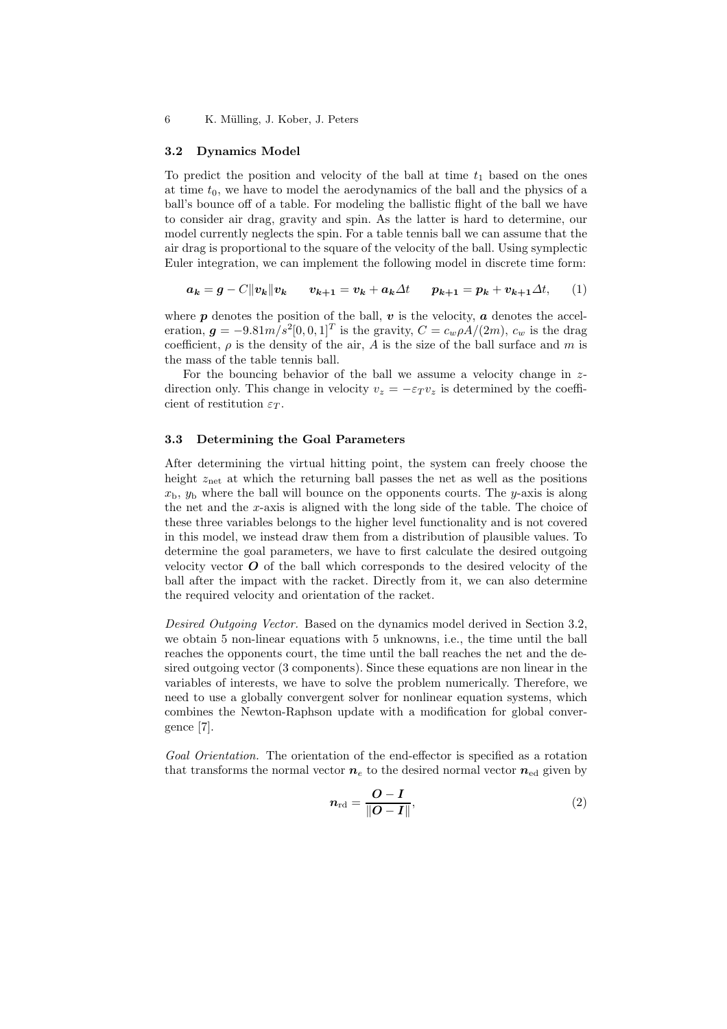#### 3.2 Dynamics Model

To predict the position and velocity of the ball at time  $t_1$  based on the ones at time  $t_0$ , we have to model the aerodynamics of the ball and the physics of a ball's bounce off of a table. For modeling the ballistic flight of the ball we have to consider air drag, gravity and spin. As the latter is hard to determine, our model currently neglects the spin. For a table tennis ball we can assume that the air drag is proportional to the square of the velocity of the ball. Using symplectic Euler integration, we can implement the following model in discrete time form:

$$
a_k = g - C ||v_k|| v_k \t v_{k+1} = v_k + a_k \Delta t \t p_{k+1} = p_k + v_{k+1} \Delta t, \t (1)
$$

where  $p$  denotes the position of the ball,  $v$  is the velocity,  $a$  denotes the acceleration,  $g = -9.81m/s^2[0, 0, 1]^T$  is the gravity,  $C = c_w \rho A/(2m)$ ,  $c_w$  is the drag coefficient,  $\rho$  is the density of the air, A is the size of the ball surface and m is the mass of the table tennis ball.

For the bouncing behavior of the ball we assume a velocity change in zdirection only. This change in velocity  $v_z = -\varepsilon_T v_z$  is determined by the coefficient of restitution  $\varepsilon_T$ .

#### 3.3 Determining the Goal Parameters

After determining the virtual hitting point, the system can freely choose the height  $z_{net}$  at which the returning ball passes the net as well as the positions  $x<sub>b</sub>$ ,  $y<sub>b</sub>$  where the ball will bounce on the opponents courts. The y-axis is along the net and the  $x$ -axis is aligned with the long side of the table. The choice of these three variables belongs to the higher level functionality and is not covered in this model, we instead draw them from a distribution of plausible values. To determine the goal parameters, we have to first calculate the desired outgoing velocity vector  $O$  of the ball which corresponds to the desired velocity of the ball after the impact with the racket. Directly from it, we can also determine the required velocity and orientation of the racket.

Desired Outgoing Vector. Based on the dynamics model derived in Section 3.2, we obtain 5 non-linear equations with 5 unknowns, i.e., the time until the ball reaches the opponents court, the time until the ball reaches the net and the desired outgoing vector (3 components). Since these equations are non linear in the variables of interests, we have to solve the problem numerically. Therefore, we need to use a globally convergent solver for nonlinear equation systems, which combines the Newton-Raphson update with a modification for global convergence [7].

Goal Orientation. The orientation of the end-effector is specified as a rotation that transforms the normal vector  $n_e$  to the desired normal vector  $n_{\text{ed}}$  given by

$$
n_{\rm rd} = \frac{O - I}{\|O - I\|},\tag{2}
$$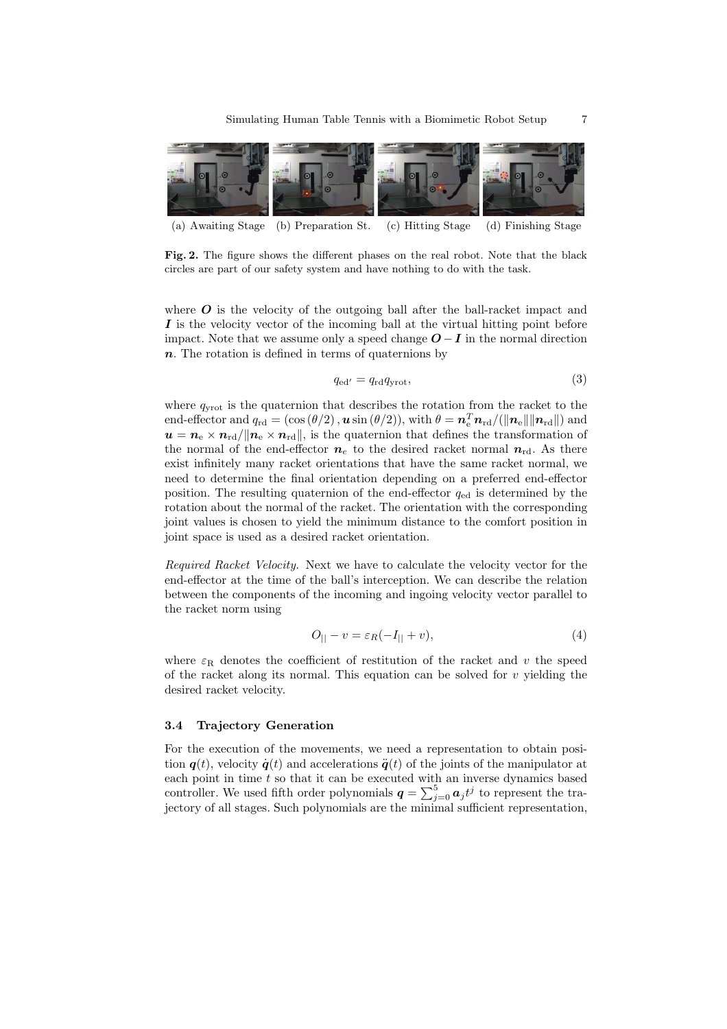

Fig. 2. The figure shows the different phases on the real robot. Note that the black circles are part of our safety system and have nothing to do with the task.

where  $\boldsymbol{O}$  is the velocity of the outgoing ball after the ball-racket impact and I is the velocity vector of the incoming ball at the virtual hitting point before impact. Note that we assume only a speed change  $O-I$  in the normal direction  $n.$  The rotation is defined in terms of quaternions by

$$
q_{\rm ed'} = q_{\rm rd} q_{\rm yrot},\tag{3}
$$

where  $q_{\text{yrot}}$  is the quaternion that describes the rotation from the racket to the end-effector and  $q_{\rm rd} = (\cos(\theta/2), \bm{u} \sin(\theta/2)),$  with  $\theta = \bm{n}_{\rm e}^T \bm{n}_{\rm rd} / (\|\bm{n}_{\rm e}\| \|\bm{n}_{\rm rd}\|)$  and  $u = n_e \times n_{\rm rd} / ||n_e \times n_{\rm rd}||$ , is the quaternion that defines the transformation of the normal of the end-effector  $n_e$  to the desired racket normal  $n_{\rm rd}$ . As there exist infinitely many racket orientations that have the same racket normal, we need to determine the final orientation depending on a preferred end-effector position. The resulting quaternion of the end-effector  $q_{\text{ed}}$  is determined by the rotation about the normal of the racket. The orientation with the corresponding joint values is chosen to yield the minimum distance to the comfort position in joint space is used as a desired racket orientation.

Required Racket Velocity. Next we have to calculate the velocity vector for the end-effector at the time of the ball's interception. We can describe the relation between the components of the incoming and ingoing velocity vector parallel to the racket norm using

$$
O_{\parallel} - v = \varepsilon_R(-I_{\parallel} + v),\tag{4}
$$

where  $\varepsilon_R$  denotes the coefficient of restitution of the racket and v the speed of the racket along its normal. This equation can be solved for  $v$  yielding the desired racket velocity.

#### 3.4 Trajectory Generation

For the execution of the movements, we need a representation to obtain position  $q(t)$ , velocity  $\dot{q}(t)$  and accelerations  $\ddot{q}(t)$  of the joints of the manipulator at each point in time  $t$  so that it can be executed with an inverse dynamics based controller. We used fifth order polynomials  $q = \sum_{j=0}^{5} a_j t^j$  to represent the trajectory of all stages. Such polynomials are the minimal sufficient representation,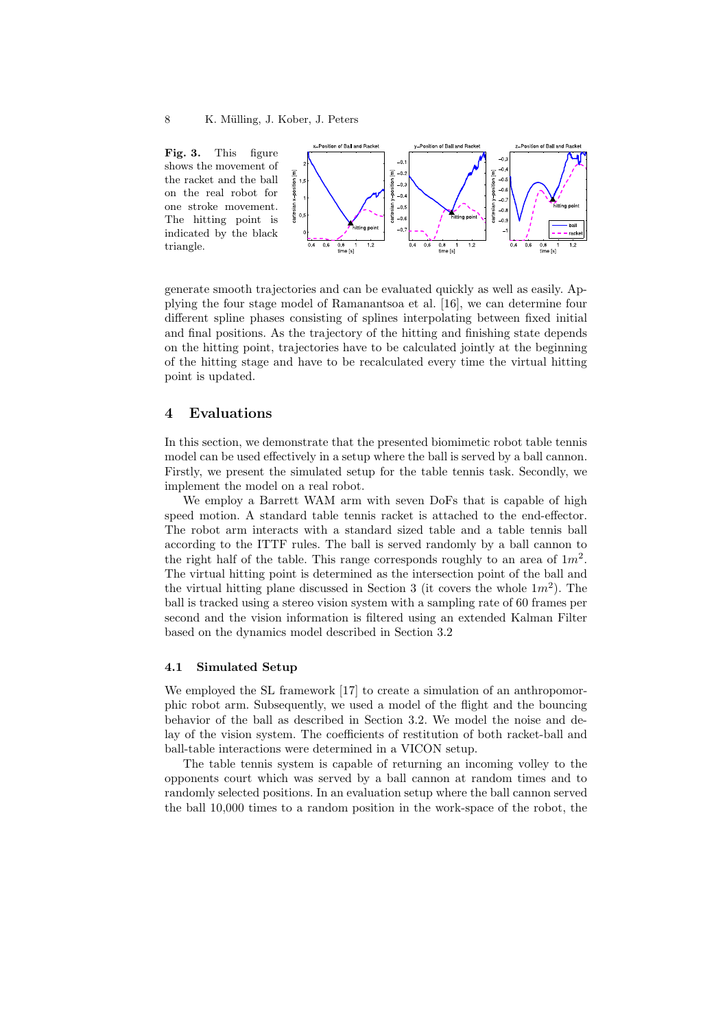Fig. 3. This figure shows the movement of the racket and the ball on the real robot for one stroke movement. The hitting point is indicated by the black triangle.



generate smooth trajectories and can be evaluated quickly as well as easily. Applying the four stage model of Ramanantsoa et al. [16], we can determine four different spline phases consisting of splines interpolating between fixed initial and final positions. As the trajectory of the hitting and finishing state depends on the hitting point, trajectories have to be calculated jointly at the beginning of the hitting stage and have to be recalculated every time the virtual hitting point is updated.

# 4 Evaluations

In this section, we demonstrate that the presented biomimetic robot table tennis model can be used effectively in a setup where the ball is served by a ball cannon. Firstly, we present the simulated setup for the table tennis task. Secondly, we implement the model on a real robot.

We employ a Barrett WAM arm with seven DoFs that is capable of high speed motion. A standard table tennis racket is attached to the end-effector. The robot arm interacts with a standard sized table and a table tennis ball according to the ITTF rules. The ball is served randomly by a ball cannon to the right half of the table. This range corresponds roughly to an area of  $1m^2$ . The virtual hitting point is determined as the intersection point of the ball and the virtual hitting plane discussed in Section 3 (it covers the whole  $1m^2$ ). The ball is tracked using a stereo vision system with a sampling rate of 60 frames per second and the vision information is filtered using an extended Kalman Filter based on the dynamics model described in Section 3.2

#### 4.1 Simulated Setup

We employed the SL framework [17] to create a simulation of an anthropomorphic robot arm. Subsequently, we used a model of the flight and the bouncing behavior of the ball as described in Section 3.2. We model the noise and delay of the vision system. The coefficients of restitution of both racket-ball and ball-table interactions were determined in a VICON setup.

The table tennis system is capable of returning an incoming volley to the opponents court which was served by a ball cannon at random times and to randomly selected positions. In an evaluation setup where the ball cannon served the ball 10,000 times to a random position in the work-space of the robot, the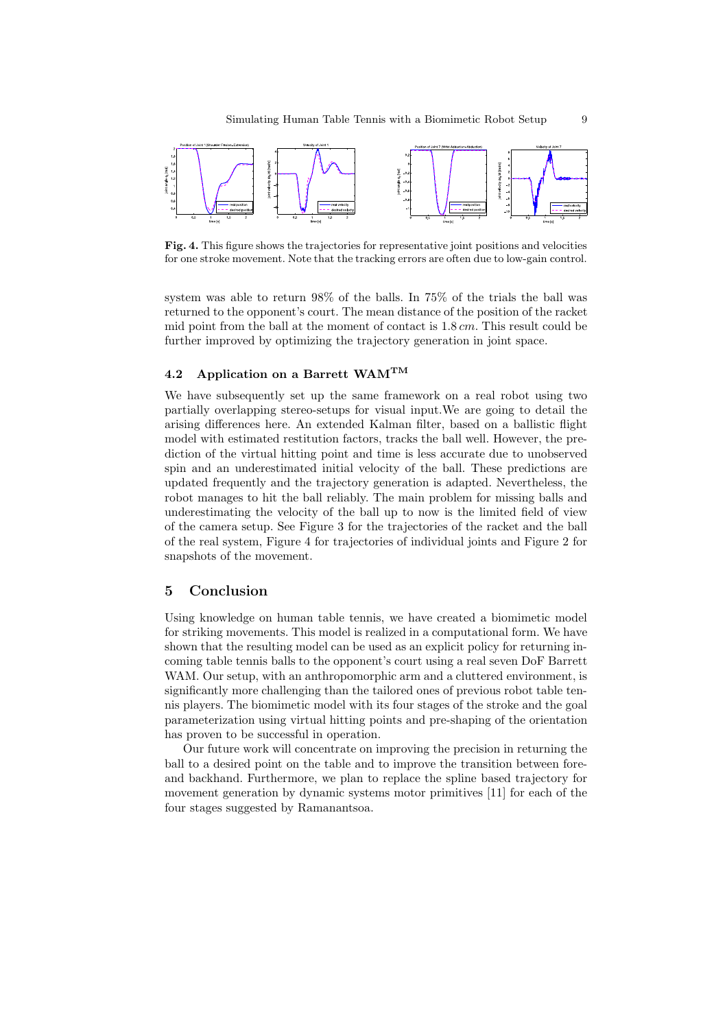

Fig. 4. This figure shows the trajectories for representative joint positions and velocities for one stroke movement. Note that the tracking errors are often due to low-gain control.

system was able to return 98% of the balls. In 75% of the trials the ball was returned to the opponent's court. The mean distance of the position of the racket mid point from the ball at the moment of contact is  $1.8 \, \text{cm}$ . This result could be further improved by optimizing the trajectory generation in joint space.

# 4.2 Application on a Barrett WAM<sup>TM</sup>

We have subsequently set up the same framework on a real robot using two partially overlapping stereo-setups for visual input.We are going to detail the arising differences here. An extended Kalman filter, based on a ballistic flight model with estimated restitution factors, tracks the ball well. However, the prediction of the virtual hitting point and time is less accurate due to unobserved spin and an underestimated initial velocity of the ball. These predictions are updated frequently and the trajectory generation is adapted. Nevertheless, the robot manages to hit the ball reliably. The main problem for missing balls and underestimating the velocity of the ball up to now is the limited field of view of the camera setup. See Figure 3 for the trajectories of the racket and the ball of the real system, Figure 4 for trajectories of individual joints and Figure 2 for snapshots of the movement.

# 5 Conclusion

Using knowledge on human table tennis, we have created a biomimetic model for striking movements. This model is realized in a computational form. We have shown that the resulting model can be used as an explicit policy for returning incoming table tennis balls to the opponent's court using a real seven DoF Barrett WAM. Our setup, with an anthropomorphic arm and a cluttered environment, is significantly more challenging than the tailored ones of previous robot table tennis players. The biomimetic model with its four stages of the stroke and the goal parameterization using virtual hitting points and pre-shaping of the orientation has proven to be successful in operation.

Our future work will concentrate on improving the precision in returning the ball to a desired point on the table and to improve the transition between foreand backhand. Furthermore, we plan to replace the spline based trajectory for movement generation by dynamic systems motor primitives [11] for each of the four stages suggested by Ramanantsoa.